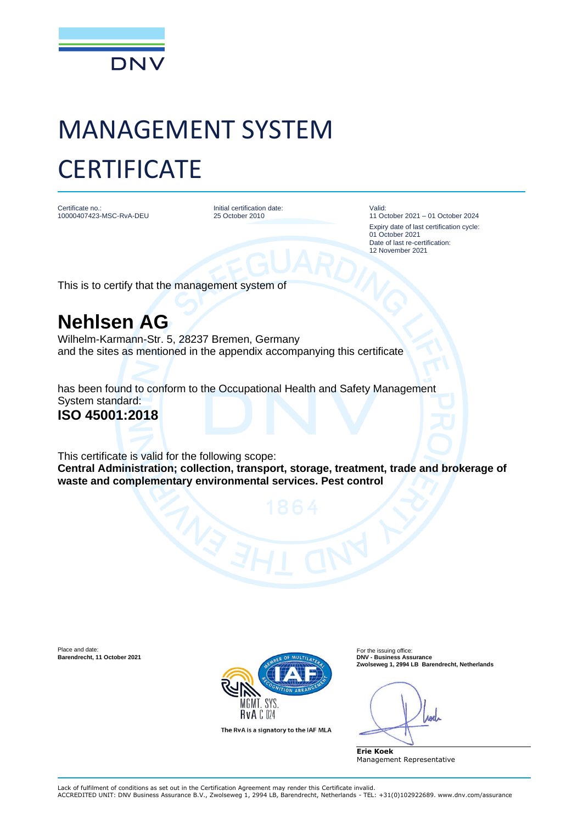

# MANAGEMENT SYSTEM **CERTIFICATE**

Certificate no.: 10000407423-MSC-RvA-DEU

Initial certification date: 25 October 2010

Valid: 11 October 2021 – 01 October 2024 Expiry date of last certification cycle: 01 October 2021 Date of last re-certification: 12 November 2021

This is to certify that the management system of

## **Nehlsen AG**

Wilhelm-Karmann-Str. 5, 28237 Bremen, Germany and the sites as mentioned in the appendix accompanying this certificate

has been found to conform to the Occupational Health and Safety Management System standard: **ISO 45001:2018**

This certificate is valid for the following scope: **Central Administration; collection, transport, storage, treatment, trade and brokerage of waste and complementary environmental services. Pest control**



The RvA is a signatory to the IAF MLA

**Zwolseweg 1, 2994 LB Barendrecht, Netherlands**

**Erie Koek** Management Representative

Lack of fulfilment of conditions as set out in the Certification Agreement may render this Certificate invalid. ACCREDITED UNIT: DNV Business Assurance B.V., Zwolseweg 1, 2994 LB, Barendrecht, Netherlands - TEL: +31(0)102922689. www.dnv.com/assurance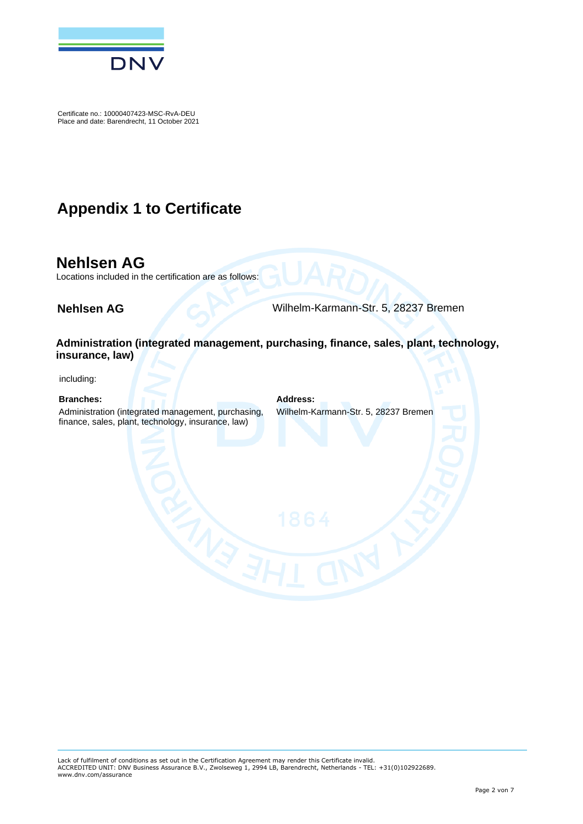

### **Appendix 1 to Certificate**

#### **Nehlsen AG**

Locations included in the certification are as follows:

**Nehlsen AG** Wilhelm-Karmann-Str. 5, 28237 Bremen

**Administration (integrated management, purchasing, finance, sales, plant, technology, insurance, law)**

including:

#### **Branches: Address:**

Administration (integrated management, purchasing, finance, sales, plant, technology, insurance, law)

Wilhelm-Karmann-Str. 5, 28237 Bremen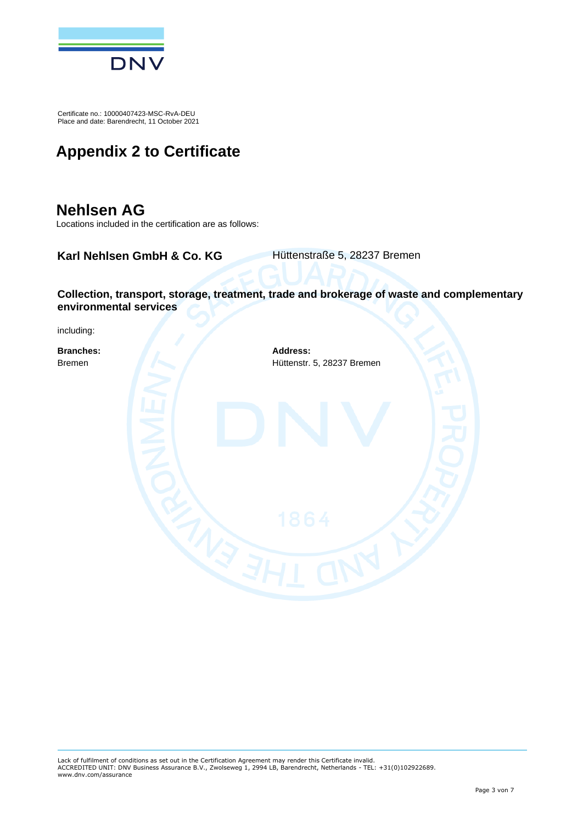

## **Appendix 2 to Certificate**

### **Nehlsen AG**

Locations included in the certification are as follows:

**Karl Nehlsen GmbH & Co. KG** Hüttenstraße 5, 28237 Bremen

**Collection, transport, storage, treatment, trade and brokerage of waste and complementary environmental services**

including:

**Branches: Address:** Bremen Hüttenstr. 5, 28237 Bremen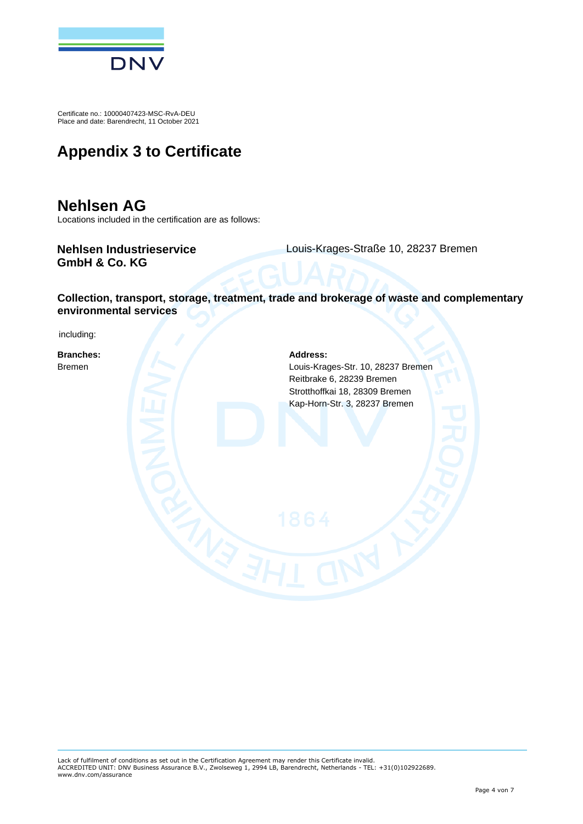

## **Appendix 3 to Certificate**

#### **Nehlsen AG**

Locations included in the certification are as follows:

#### **Nehlsen Industrieservice GmbH & Co. KG**

Louis-Krages-Straße 10, 28237 Bremen

#### **Collection, transport, storage, treatment, trade and brokerage of waste and complementary environmental services**

including:

**Branches: Address:**

Bremen Louis-Krages-Str. 10, 28237 Bremen Reitbrake 6, 28239 Bremen Strotthoffkai 18, 28309 Bremen Kap-Horn-Str. 3, 28237 Bremen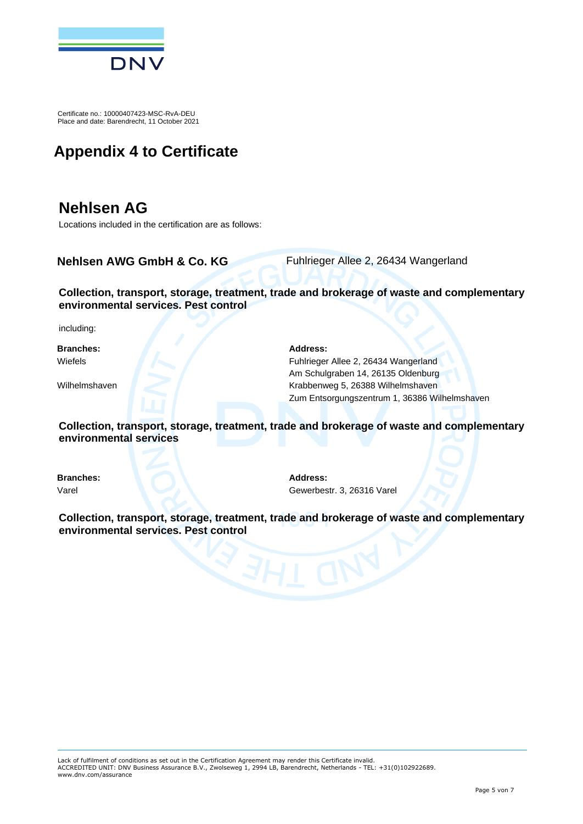

## **Appendix 4 to Certificate**

### **Nehlsen AG**

Locations included in the certification are as follows:

**Nehlsen AWG GmbH & Co. KG** Fuhlrieger Allee 2, 26434 Wangerland

#### **Collection, transport, storage, treatment, trade and brokerage of waste and complementary environmental services. Pest control**

including:

**Branches: Address:**

Wiefels Fuhlrieger Allee 2, 26434 Wangerland Am Schulgraben 14, 26135 Oldenburg Wilhelmshaven **Krabbenweg 5, 26388 Wilhelmshaven** Zum Entsorgungszentrum 1, 36386 Wilhelmshaven

**Collection, transport, storage, treatment, trade and brokerage of waste and complementary environmental services**

**Branches: Address:**

Varel Gewerbestr. 3, 26316 Varel

**Collection, transport, storage, treatment, trade and brokerage of waste and complementary environmental services. Pest control**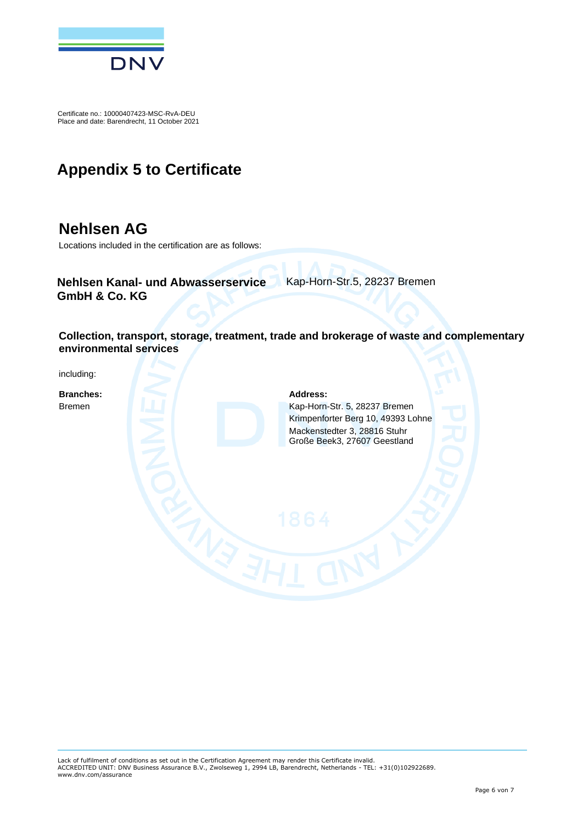

### **Appendix 5 to Certificate**

#### **Nehlsen AG**

Locations included in the certification are as follows:

**Nehlsen Kanal- und Abwasserservice GmbH & Co. KG**

Kap-Horn-Str.5, 28237 Bremen

**Collection, transport, storage, treatment, trade and brokerage of waste and complementary environmental services**

including:

**Branches: Address:**

Bremen Kap-Horn-Str. 5, 28237 Bremen Krimpenforter Berg 10, 49393 Lohne Mackenstedter 3, 28816 Stuhr Große Beek3, 27607 Geestland